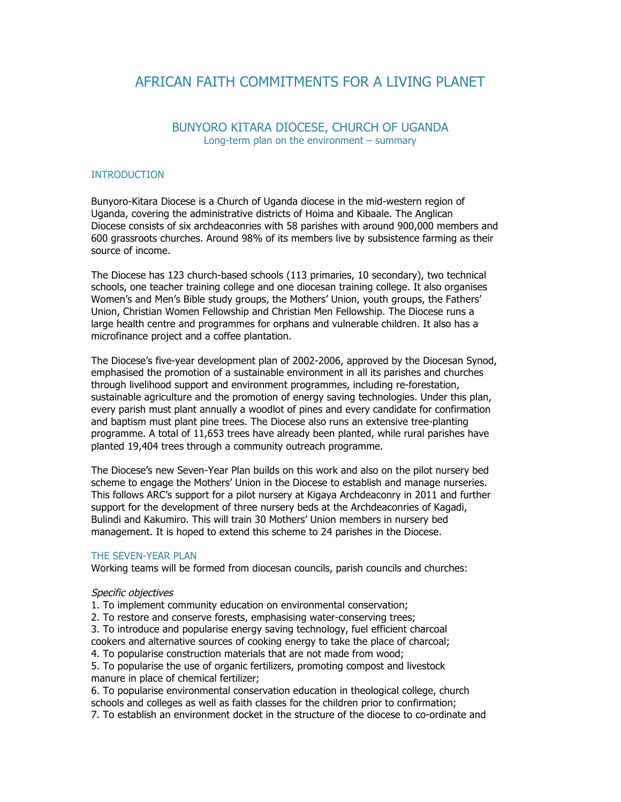# AFRICAN FAITH COMMITMENTS FOR A LIVING PLANET

## BUNYORO KITARA DIOCESE, CHURCH OF UGANDA Long-term plan on the environment – summary

## INTRODUCTION

Bunyoro-Kitara Diocese is a Church of Uganda diocese in the mid-western region of Uganda, covering the administrative districts of Hoima and Kibaale. The Anglican Diocese consists of six archdeaconries with 58 parishes with around 900,000 members and 600 grassroots churches. Around 98% of its members live by subsistence farming as their source of income.

The Diocese has 123 church-based schools (113 primaries, 10 secondary), two technical schools, one teacher training college and one diocesan training college. It also organises Women's and Men's Bible study groups, the Mothers' Union, youth groups, the Fathers' Union, Christian Women Fellowship and Christian Men Fellowship. The Diocese runs a large health centre and programmes for orphans and vulnerable children. It also has a microfinance project and a coffee plantation.

The Diocese's five-year development plan of 2002-2006, approved by the Diocesan Synod, emphasised the promotion of a sustainable environment in all its parishes and churches through livelihood support and environment programmes, including re-forestation, sustainable agriculture and the promotion of energy saving technologies. Under this plan, every parish must plant annually a woodlot of pines and every candidate for confirmation and baptism must plant pine trees. The Diocese also runs an extensive tree-planting programme. A total of 11,653 trees have already been planted, while rural parishes have planted 19,404 trees through a community outreach programme.

The Diocese's new Seven-Year Plan builds on this work and also on the pilot nursery bed scheme to engage the Mothers' Union in the Diocese to establish and manage nurseries. This follows ARC's support for a pilot nursery at Kigaya Archdeaconry in 2011 and further support for the development of three nursery beds at the Archdeaconries of Kagadi, Bulindi and Kakumiro. This will train 30 Mothers' Union members in nursery bed management. It is hoped to extend this scheme to 24 parishes in the Diocese.

#### THE SEVEN-YEAR PLAN

Working teams will be formed from diocesan councils, parish councils and churches:

#### Specific objectives

- 1. To implement community education on environmental conservation;
- 2. To restore and conserve forests, emphasising water-conserving trees;

3. To introduce and popularise energy saving technology, fuel efficient charcoal cookers and alternative sources of cooking energy to take the place of charcoal;

- 4. To popularise construction materials that are not made from wood;
- 5. To popularise the use of organic fertilizers, promoting compost and livestock manure in place of chemical fertilizer;

6. To popularise environmental conservation education in theological college, church schools and colleges as well as faith classes for the children prior to confirmation; 7. To establish an environment docket in the structure of the diocese to co-ordinate and